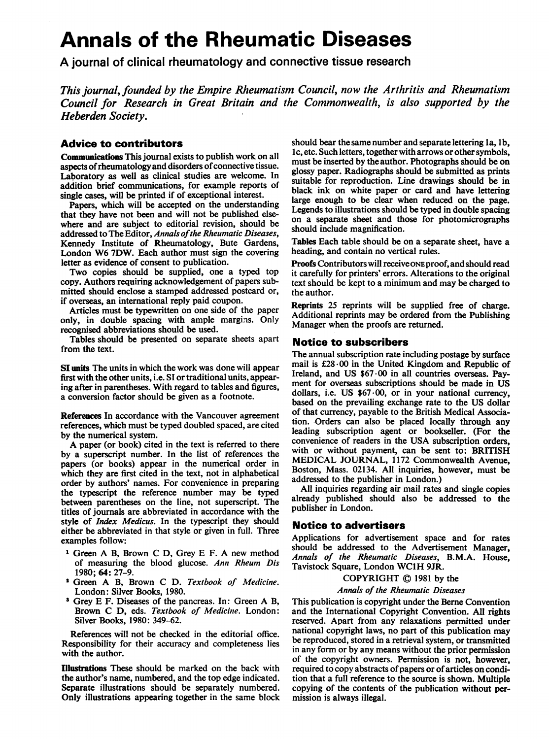### Annals of the Rheumatic Diseases

A journal of clinical rheumatology and connective tissue research

This journal, founded by the Empire Rheumatism Council, now the Arthritis and Rheumatism Council for Research in Great Britain and the Commonwealth, is also supported by the Heberden Society.

#### Advice to contributors

Communications This journal exists to publish work on all aspects of rheumatology and disorders of connective tissue. Laboratory as well as clinical studies are welcome. In addition brief communications, for example reports of single cases, will be printed if of exceptional interest.

Papers, which will be accepted on the understanding that they have not been and will not be published elsewhere and are subject to editorial revision, should be addressed to The Editor, Annals of the Rheumatic Diseases, Kennedy Institute of Rheumatology, Bute Gardens, London W6 7DW. Each author must sign the covering letter as evidence of consent to publication.

Two copies should be supplied, one a typed top copy. Authors requiring acknowledgement of papers submitted should enclose a stamped addressed postcard or, if overseas, an international reply paid coupon.

Articles must be typewritten on one side of the paper only, in double spacing with ample margins. Only recognised abbreviations should be used.

Tables should be presented on separate sheets apart from the text.

SI units The units in which the work was done will appear first with the other units, i.e. SI or traditional units, appearing after in parentheses. With regard to tables and figures, a conversion factor should be given as a footnote.

References In accordance with the Vancouver agreement references, which must be typed doubled spaced, are cited by the numerical system.

A paper (or book) cited in the text is referred to there by a superscript number. In the list of references the papers (or books) appear in the numerical order in which they are first cited in the text, not in alphabetical order by authors' names. For convenience in preparing the typescript the reference number may be typed between parentheses on the line, not superscript. The titles of journals are abbreviated in accordance with the style of *Index Medicus*. In the typescript they should either be abbreviated in that style or given in full. Three examples follow:

- <sup>1</sup> Green A B, Brown C D, Grey E F. A new method of measuring the blood glucose. Ann Rheum Dis 1980; 64: 27-9.
- <sup>2</sup> Green A B, Brown C D. Textbook of Medicine. London: Silver Books, 1980.
- <sup>3</sup> Grey E F. Diseases of the pancreas. In: Green A B, Brown C D, eds. Textbook of Medicine. London: Silver Books, 1980: 349-62.

References will not be checked in the editorial office. Responsibility for their accuracy and completeness lies with the author.

Illustrations These should be marked on the back with the author's name, numbered, and the top edge indicated. Separate illustrations should be separately numbered. Only illustrations appearing together in the same block

should bear the same number and separate lettering la, lb, lc, etc. Such letters, together with arrows or other symbols, must be inserted by the author. Photographs should be on glossy paper. Radiographs should be submitted as prints suitable for reproduction. Line drawings should be in black ink on white paper or card and have lettering large enough to be clear when reduced on the page. Legends to illustrations should be typed in double spacing on a separate sheet and those for photomicrographs should include magnification.

Tables Each table should be on a separate sheet, have a heading, and contain no vertical rules.

Proofs Contributors will receive ONE proof, and should read it carefully for printers' errors. Alterations to the original text should be kept to a minimum and may be charged to the author.

Reprints 25 reprints will be supplied free of charge. Additional reprints may be ordered from the Publishing Manager when the proofs are returned.

#### Notice to subscribers

The annual subscription rate including postage by surface mail is £28.00 in the United Kingdom and Republic of Ireland, and US \$67 00 in all countries overseas. Payment for overseas subscriptions should be made in US dollars, i.e. US  $$67.00$ , or in your national currency, based on the prevailing exchange rate to the US dollar of that currency, payable to the British Medical Association. Orders can also be placed locally through any leading subscription agent or bookseller. (For the convenience of readers in the USA subscription orders, with or without payment, can be sent to: BRITISH MEDICAL JOURNAL, <sup>1172</sup> Commonwealth Avenue, Boston, Mass. 02134. All inquiries, however, must be addressed to the publisher in London.)

All inquiries regarding air mail rates and single copies already published should also be addressed to the publisher in London.

#### Notice to advertisers

Applications for advertisement space and for rates should be addressed to the Advertisement Manager, Annals of the Rheumatic Diseases, B.M.A. House, Tavistock Square, London WC1H 9JR.

#### COPYRIGHT © 1981 by the

#### Annals of the Rheumatic Diseases

This publication is copyright under the Berne Convention and the International Copyright Convention. All rights reserved. Apart from any relaxations permitted under national copyright laws, no part of this publication may be reproduced, stored in a retrieval system, or transmitted in any form or by any means without the prior permission of the copyright owners. Permission is not, however, required to copy abstracts of papers or of articles on condition that a full reference to the source is shown. Multiple copying of the contents of the publication without permission is always illegal.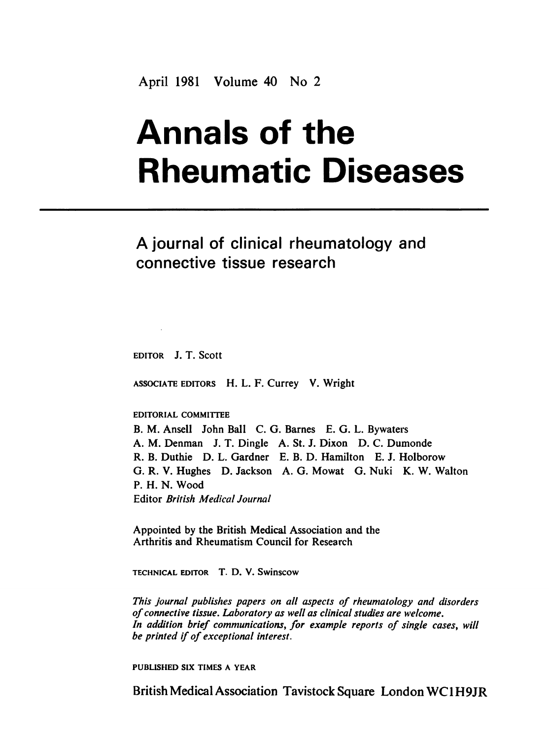### April <sup>1981</sup> Volume 40 No 2

# **Annals of the** Rheumatic Diseases

### A journal of clinical rheumatology and connective tissue research

EDITOR J. T. Scott

ASSOCIATE EDITORS H. L. F. Currey V. Wright

#### EDITORIAL COMMITTEE

B. M. Ansell John Ball C. G. Barnes E. G. L. Bywaters A. M. Denman J. T. Dingle A. St. J. Dixon D. C. Dumonde R. B. Duthie D. L. Gardner E. B. D. Hamilton E. J. Holborow G. R. V. Hughes D. Jackson A. G. Mowat G. Nuki K. W. Walton P. H. N. Wood Editor British Medical Journal

Appointed by the British Medical Association and the Arthritis and Rheumatism Council for Research

TECHNICAL EDITOR T. D. V. Swinscow

This journal publishes papers on all aspects of rheumatology and disorders of connective tissue. Laboratory as well as clinical studies are welcome. In addition brief communications, for example reports of single cases, will be printed if of exceptional interest.

PUBLISHED SIX TIMES A YEAR

British Medical Association Tavistock Square London WC1 H9JR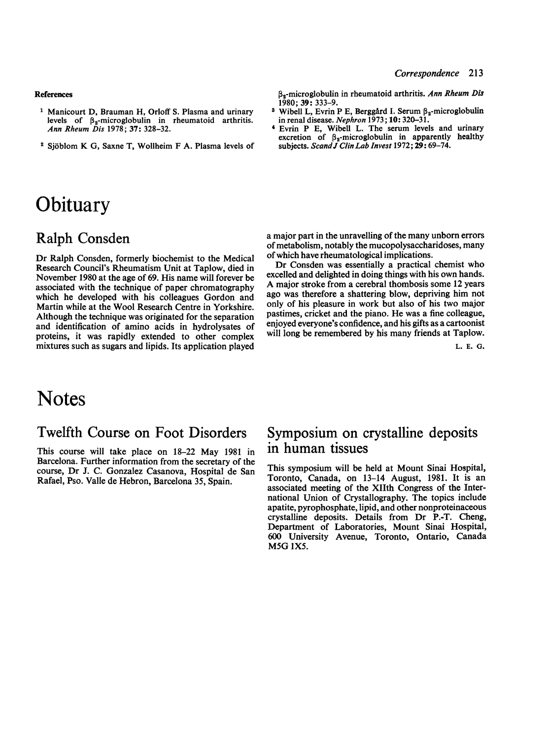#### References

- <sup>1</sup> Manicourt D, Brauman H, Orloff S, Plasma and urinary levels of  $\beta_2$ -microglobulin in rheumatoid arthritis. Ann Rheum Dis 1978; 37: 328-32.
- <sup>2</sup> Sj6blom K G, Saxne T, Wollheim F A. Plasma levels of

### **Obituary**

#### Ralph Consden

Dr Ralph Consden, formerly biochemist to the Medical Research Council's Rheumatism Unit at Taplow, died in November 1980 at the age of 69. His name will forever be associated with the technique of paper chromatography which he developed with his colleagues Gordon and Martin while at the Wool Research Centre in Yorkshire. Although the technique was originated for the separation and identification of amino acids in hydrolysates of proteins, it was rapidly extended to other complex mixtures such as sugars and lipids. Its application played

 $\beta_2$ -microglobulin in rheumatoid arthritis. Ann Rheum Dis 1980; 39: 333-9.

- <sup>3</sup> Wibell L, Evrin P E, Berggård I. Serum  $\beta_2$ -microglobulin in renal disease. Nephron 1973; 10: 320-31.
- Evrin P E, Wibell L. The serum levels and urinary excretion of  $\beta_2$ -microglobulin in apparently healthy subjects. Scand  $J$  Clin Lab Invest 1972; 29: 69-74.

a major part in the unravelling of the many unborn errors of metabolism, notably the mucopolysaccharidoses, many of which have rheumatological implications.

Dr Consden was essentially a practical chemist who excelled and delighted in doing things with his own hands. A major stroke from <sup>a</sup> cerebral thombosis some <sup>12</sup> years ago was therefore a shattering blow, depriving him not only of his pleasure in work but also of his two major pastimes, cricket and the piano. He was a fine colleague, enjoyed everyone's confidence, and his gifts as a cartoonist will long be remembered by his many friends at Taplow.

L. E. G.

### **Notes**

#### Twelfth Course on Foot Disorders Symposium on crystalline deposits

This course will take place on  $18-22$  May 1981 in  $\overline{1}$  in human tissues Barcelona. Further information from the secretary of the course, Dr J. C. Gonzalez Casanova, Hospital de San Rafael, Pso. Valle de Hebron, Barcelona 35, Spain.

This symposium will be held at Mount Sinai Hospital, Toronto, Canada, on 13-14 August, 1981. It is an associated meeting of the XIIth Congress of the International Union of Crystallography. The topics include apatite, pyrophosphate, lipid, and other nonproteinaceous crystalline deposits. Details from Dr P.-T. Cheng, Department of Laboratories, Mount Sinai Hospital, 600 University Avenue, Toronto, Ontario, Canada M5G IX5.